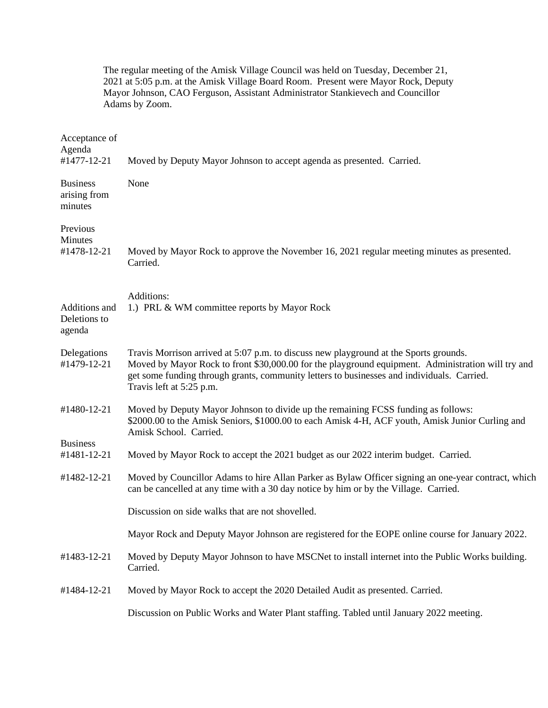|                                            | Mayor Johnson, CAO Ferguson, Assistant Administrator Stankievech and Councillor<br>Adams by Zoom.                                                                                                                                                                                                                     |
|--------------------------------------------|-----------------------------------------------------------------------------------------------------------------------------------------------------------------------------------------------------------------------------------------------------------------------------------------------------------------------|
| Acceptance of<br>Agenda<br>#1477-12-21     | Moved by Deputy Mayor Johnson to accept agenda as presented. Carried.                                                                                                                                                                                                                                                 |
| <b>Business</b><br>arising from<br>minutes | None                                                                                                                                                                                                                                                                                                                  |
| Previous<br>Minutes<br>#1478-12-21         | Moved by Mayor Rock to approve the November 16, 2021 regular meeting minutes as presented.<br>Carried.                                                                                                                                                                                                                |
| Additions and<br>Deletions to<br>agenda    | Additions:<br>1.) PRL & WM committee reports by Mayor Rock                                                                                                                                                                                                                                                            |
| Delegations<br>#1479-12-21                 | Travis Morrison arrived at 5:07 p.m. to discuss new playground at the Sports grounds.<br>Moved by Mayor Rock to front \$30,000.00 for the playground equipment. Administration will try and<br>get some funding through grants, community letters to businesses and individuals. Carried.<br>Travis left at 5:25 p.m. |
| #1480-12-21                                | Moved by Deputy Mayor Johnson to divide up the remaining FCSS funding as follows:<br>\$2000.00 to the Amisk Seniors, \$1000.00 to each Amisk 4-H, ACF youth, Amisk Junior Curling and<br>Amisk School. Carried.                                                                                                       |
| <b>Business</b><br>#1481-12-21             | Moved by Mayor Rock to accept the 2021 budget as our 2022 interim budget. Carried.                                                                                                                                                                                                                                    |
| #1482-12-21                                | Moved by Councillor Adams to hire Allan Parker as Bylaw Officer signing an one-year contract, which<br>can be cancelled at any time with a 30 day notice by him or by the Village. Carried.                                                                                                                           |
|                                            | Discussion on side walks that are not shovelled.                                                                                                                                                                                                                                                                      |
|                                            | Mayor Rock and Deputy Mayor Johnson are registered for the EOPE online course for January 2022.                                                                                                                                                                                                                       |
| #1483-12-21                                | Moved by Deputy Mayor Johnson to have MSCNet to install internet into the Public Works building.<br>Carried.                                                                                                                                                                                                          |
| #1484-12-21                                | Moved by Mayor Rock to accept the 2020 Detailed Audit as presented. Carried.                                                                                                                                                                                                                                          |
|                                            | Discussion on Public Works and Water Plant staffing. Tabled until January 2022 meeting.                                                                                                                                                                                                                               |

The regular meeting of the Amisk Village Council was held on Tuesday, December 21, 2021 at 5:05 p.m. at the Amisk Village Board Room. Present were Mayor Rock, Deputy